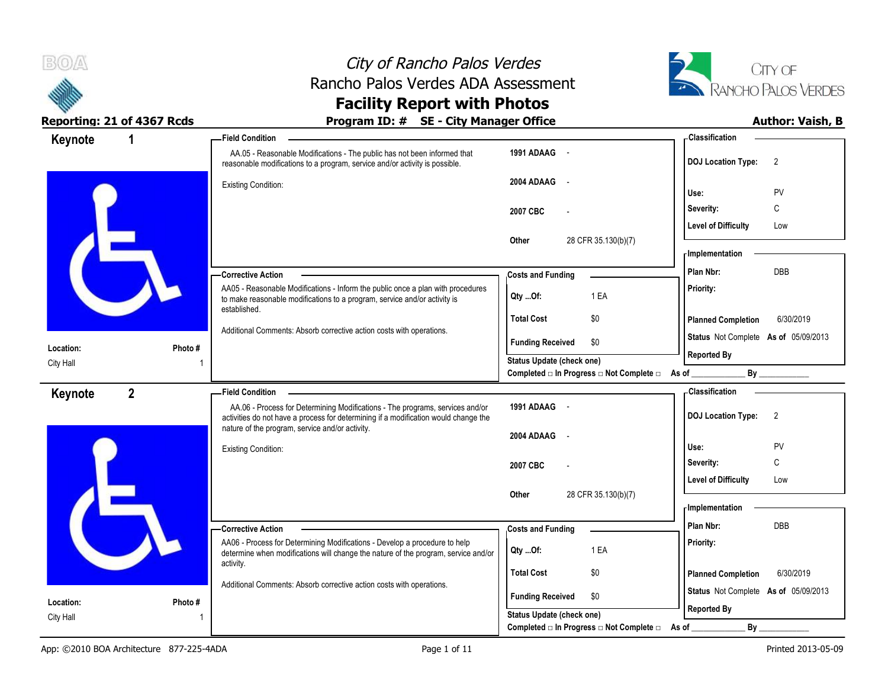



| Keynote   | 1           | - Field Condition                                                                                                                                                                                                       |                                                                               | - Classification                            |
|-----------|-------------|-------------------------------------------------------------------------------------------------------------------------------------------------------------------------------------------------------------------------|-------------------------------------------------------------------------------|---------------------------------------------|
|           |             | AA.05 - Reasonable Modifications - The public has not been informed that<br>reasonable modifications to a program, service and/or activity is possible.                                                                 | 1991 ADAAG -                                                                  | <b>DOJ Location Type:</b><br>$\overline{2}$ |
|           |             | <b>Existing Condition:</b>                                                                                                                                                                                              | 2004 ADAAG<br>$\sim$                                                          | Use:<br>PV                                  |
|           |             |                                                                                                                                                                                                                         | 2007 CBC                                                                      | С<br>Severity:                              |
|           |             |                                                                                                                                                                                                                         |                                                                               | <b>Level of Difficulty</b><br>Low           |
|           |             |                                                                                                                                                                                                                         | 28 CFR 35.130(b)(7)<br>Other                                                  | - Implementation                            |
|           |             | - Corrective Action                                                                                                                                                                                                     | <b>Costs and Funding</b>                                                      | Plan Nbr:<br>DBB                            |
|           |             | AA05 - Reasonable Modifications - Inform the public once a plan with procedures<br>to make reasonable modifications to a program, service and/or activity is                                                            | 1 EA<br>Qty Of:                                                               | Priority:                                   |
|           |             | established.                                                                                                                                                                                                            | <b>Total Cost</b><br>\$0                                                      | <b>Planned Completion</b><br>6/30/2019      |
| Location: | Photo #     | Additional Comments: Absorb corrective action costs with operations.                                                                                                                                                    | <b>Funding Received</b><br>\$0                                                | Status Not Complete As of 05/09/2013        |
| City Hall |             |                                                                                                                                                                                                                         | Status Update (check one)<br>Completed □ In Progress □ Not Complete □ As of _ | <b>Reported By</b><br>By                    |
| Keynote   | $2^{\circ}$ | <b>Field Condition</b>                                                                                                                                                                                                  |                                                                               | - Classification                            |
|           |             | AA.06 - Process for Determining Modifications - The programs, services and/or<br>activities do not have a process for determining if a modification would change the<br>nature of the program, service and/or activity. | 1991 ADAAG -                                                                  | <b>DOJ</b> Location Type:<br>$\overline{2}$ |
|           |             |                                                                                                                                                                                                                         | 2004 ADAAG<br>$\sim$                                                          |                                             |
|           |             | <b>Existing Condition:</b>                                                                                                                                                                                              |                                                                               | PV<br>Use:<br>C<br>Severity:                |
|           |             |                                                                                                                                                                                                                         | 2007 CBC                                                                      | <b>Level of Difficulty</b><br>Low           |
|           |             |                                                                                                                                                                                                                         | 28 CFR 35.130(b)(7)<br>Other                                                  |                                             |
|           |             |                                                                                                                                                                                                                         |                                                                               | <b>Implementation</b>                       |
|           |             | -Corrective Action                                                                                                                                                                                                      | <b>Costs and Funding</b>                                                      | Plan Nbr:<br><b>DBB</b>                     |
|           |             | AA06 - Process for Determining Modifications - Develop a procedure to help<br>determine when modifications will change the nature of the program, service and/or                                                        | 1 EA<br>Qty Of:                                                               | Priority:                                   |
|           |             | activity.                                                                                                                                                                                                               | <b>Total Cost</b><br>\$0                                                      | <b>Planned Completion</b><br>6/30/2019      |
| Location: | Photo #     | Additional Comments: Absorb corrective action costs with operations.                                                                                                                                                    | <b>Funding Received</b><br>\$0                                                | Status Not Complete As of 05/09/2013        |
| City Hall |             |                                                                                                                                                                                                                         | <b>Status Update (check one)</b>                                              | <b>Reported By</b>                          |
|           |             |                                                                                                                                                                                                                         | Completed □ In Progress □ Not Complete □ As of                                | $By_$                                       |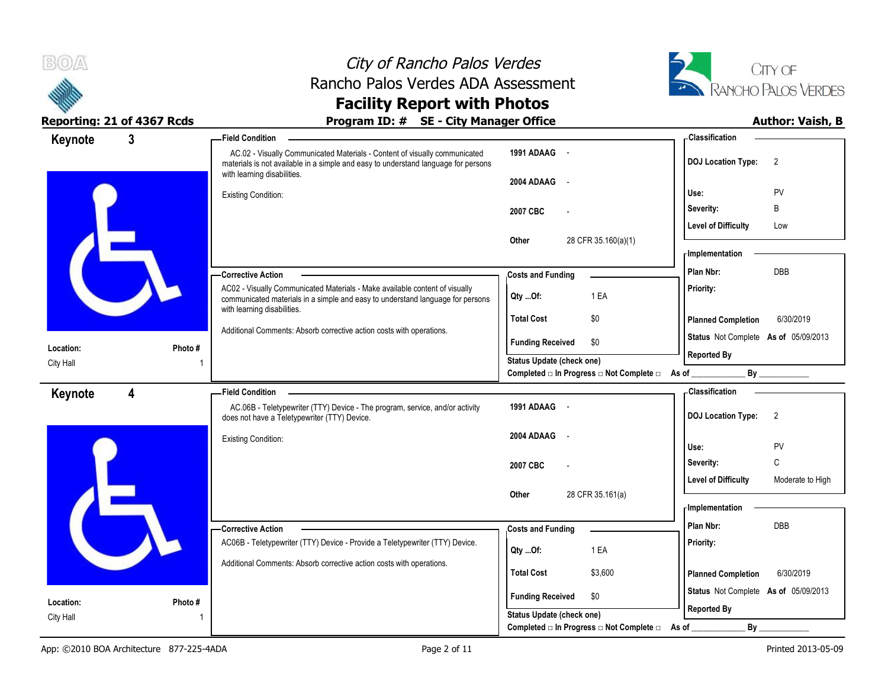



| Keynote                | $\mathbf{3}$ | <b>Field Condition</b>                                                                                                                                                                          |                                                  | Classification                                 |
|------------------------|--------------|-------------------------------------------------------------------------------------------------------------------------------------------------------------------------------------------------|--------------------------------------------------|------------------------------------------------|
|                        |              | AC.02 - Visually Communicated Materials - Content of visually communicated<br>materials is not available in a simple and easy to understand language for persons<br>with learning disabilities. | 1991 ADAAG -                                     | <b>DOJ</b> Location Type:<br>$\overline{2}$    |
|                        |              | <b>Existing Condition:</b>                                                                                                                                                                      | 2004 ADAAG -                                     | PV<br>Use:                                     |
|                        |              |                                                                                                                                                                                                 | 2007 CBC                                         | B<br>Severity:                                 |
|                        |              |                                                                                                                                                                                                 |                                                  | <b>Level of Difficulty</b><br>Low              |
|                        |              |                                                                                                                                                                                                 | 28 CFR 35.160(a)(1)<br>Other                     |                                                |
|                        |              |                                                                                                                                                                                                 |                                                  | - Implementation                               |
|                        |              | -Corrective Action                                                                                                                                                                              | <b>Costs and Funding</b>                         | <b>DBB</b><br>Plan Nbr:                        |
|                        |              | AC02 - Visually Communicated Materials - Make available content of visually<br>communicated materials in a simple and easy to understand language for persons<br>with learning disabilities.    | 1 EA<br>$Qty$ Of:                                | Priority:                                      |
|                        |              |                                                                                                                                                                                                 | <b>Total Cost</b><br>\$0                         | 6/30/2019<br><b>Planned Completion</b>         |
|                        | Photo#       | Additional Comments: Absorb corrective action costs with operations.                                                                                                                            | <b>Funding Received</b><br>\$0                   | Status Not Complete As of 05/09/2013           |
| Location:<br>City Hall |              |                                                                                                                                                                                                 | Status Update (check one)                        | <b>Reported By</b>                             |
|                        |              |                                                                                                                                                                                                 | Completed □ In Progress □ Not Complete □ As of _ | By                                             |
| Keynote                | 4            | <b>Field Condition</b>                                                                                                                                                                          |                                                  | <b>Classification</b>                          |
|                        |              | AC.06B - Teletypewriter (TTY) Device - The program, service, and/or activity<br>does not have a Teletypewriter (TTY) Device.                                                                    | 1991 ADAAG -                                     | <b>DOJ Location Type:</b><br>$\overline{2}$    |
|                        |              | <b>Existing Condition:</b>                                                                                                                                                                      | 2004 ADAAG -                                     | PV<br>Use:                                     |
|                        |              |                                                                                                                                                                                                 | 2007 CBC                                         | C<br>Severity:                                 |
|                        |              |                                                                                                                                                                                                 |                                                  | <b>Level of Difficulty</b><br>Moderate to High |
|                        |              |                                                                                                                                                                                                 | 28 CFR 35.161(a)<br>Other                        | <b>Implementation</b>                          |
|                        |              |                                                                                                                                                                                                 |                                                  | <b>DBB</b><br>Plan Nbr:                        |
|                        |              | -Corrective Action<br>AC06B - Teletypewriter (TTY) Device - Provide a Teletypewriter (TTY) Device.                                                                                              | <b>Costs and Funding</b>                         | Priority:                                      |
|                        |              | Additional Comments: Absorb corrective action costs with operations.                                                                                                                            | 1 EA<br>Qty Of:                                  |                                                |
|                        |              |                                                                                                                                                                                                 | <b>Total Cost</b><br>\$3,600                     | <b>Planned Completion</b><br>6/30/2019         |
| Location:              | Photo#       |                                                                                                                                                                                                 | <b>Funding Received</b><br>\$0                   | Status Not Complete As of 05/09/2013           |
| City Hall              |              |                                                                                                                                                                                                 | Status Update (check one)                        | <b>Reported By</b>                             |
|                        |              |                                                                                                                                                                                                 | Completed □ In Progress □ Not Complete □ As of   | $By_$                                          |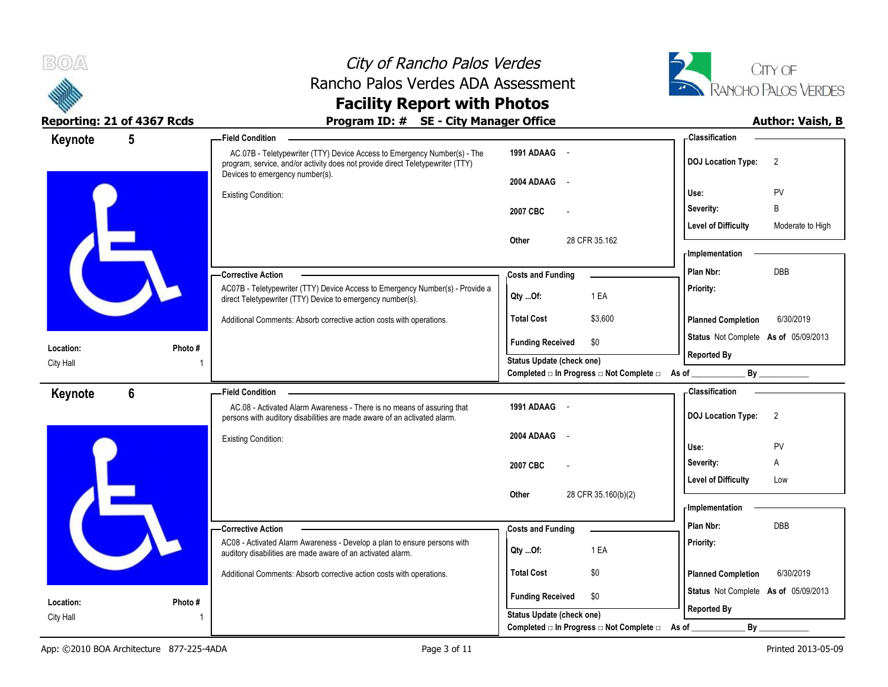



| Keynote   | 5              | <b>Field Condition</b>                                                                                                                                     |                                          |                                                | Classification                                             |                  |
|-----------|----------------|------------------------------------------------------------------------------------------------------------------------------------------------------------|------------------------------------------|------------------------------------------------|------------------------------------------------------------|------------------|
|           |                | AC.07B - Teletypewriter (TTY) Device Access to Emergency Number(s) - The<br>program, service, and/or activity does not provide direct Teletypewriter (TTY) | 1991 ADAAG -                             |                                                | <b>DOJ Location Type:</b>                                  | 2                |
|           |                | Devices to emergency number(s).<br><b>Existing Condition:</b>                                                                                              | 2004 ADAAG<br>$\sim$                     |                                                | Use:                                                       | PV               |
|           |                |                                                                                                                                                            | 2007 CBC                                 |                                                | Severity:                                                  | B                |
|           |                |                                                                                                                                                            | Other                                    | 28 CFR 35.162                                  | <b>Level of Difficulty</b>                                 | Moderate to High |
|           |                |                                                                                                                                                            |                                          |                                                | - Implementation                                           |                  |
|           |                | -Corrective Action                                                                                                                                         | <b>Costs and Funding</b>                 |                                                | Plan Nbr:                                                  | <b>DBB</b>       |
|           |                | AC07B - Teletypewriter (TTY) Device Access to Emergency Number(s) - Provide a<br>direct Teletypewriter (TTY) Device to emergency number(s).                | Qty Of:                                  | 1 EA                                           | Priority:                                                  |                  |
|           |                | Additional Comments: Absorb corrective action costs with operations.                                                                                       | <b>Total Cost</b>                        | \$3,600                                        | <b>Planned Completion</b>                                  | 6/30/2019        |
| Location: | Photo#         |                                                                                                                                                            | <b>Funding Received</b>                  | \$0                                            | Status Not Complete As of 05/09/2013<br><b>Reported By</b> |                  |
| City Hall |                |                                                                                                                                                            | Status Update (check one)                | Completed □ In Progress □ Not Complete □ As of | Bv                                                         |                  |
|           |                | <b>Field Condition</b>                                                                                                                                     |                                          |                                                | <b>Classification</b>                                      |                  |
| Keynote   | $6\phantom{1}$ | AC.08 - Activated Alarm Awareness - There is no means of assuring that<br>persons with auditory disabilities are made aware of an activated alarm.         | 1991 ADAAG -                             |                                                | <b>DOJ Location Type:</b>                                  | 2                |
|           |                | <b>Existing Condition:</b>                                                                                                                                 | 2004 ADAAG<br>$\sim$                     |                                                | Use:                                                       | <b>PV</b>        |
|           |                |                                                                                                                                                            | 2007 CBC                                 |                                                | Severity:                                                  | A                |
|           |                |                                                                                                                                                            |                                          |                                                | <b>Level of Difficulty</b>                                 | Low              |
|           |                |                                                                                                                                                            | Other                                    | 28 CFR 35.160(b)(2)                            | - Implementation                                           |                  |
|           |                | - Corrective Action                                                                                                                                        | <b>Costs and Funding</b>                 |                                                | Plan Nbr:                                                  | <b>DBB</b>       |
|           |                | AC08 - Activated Alarm Awareness - Develop a plan to ensure persons with<br>auditory disabilities are made aware of an activated alarm.                    | Qty Of:                                  | 1 EA                                           | Priority:                                                  |                  |
|           |                | Additional Comments: Absorb corrective action costs with operations.                                                                                       | <b>Total Cost</b>                        | \$0                                            | <b>Planned Completion</b>                                  | 6/30/2019        |
| Location: | Photo #        |                                                                                                                                                            | <b>Funding Received</b>                  | \$0                                            | Status Not Complete As of 05/09/2013<br><b>Reported By</b> |                  |
| City Hall |                |                                                                                                                                                            | Status Update (check one)                |                                                |                                                            |                  |
|           |                |                                                                                                                                                            | Completed □ In Progress □ Not Complete □ |                                                | $By_$<br>As of                                             |                  |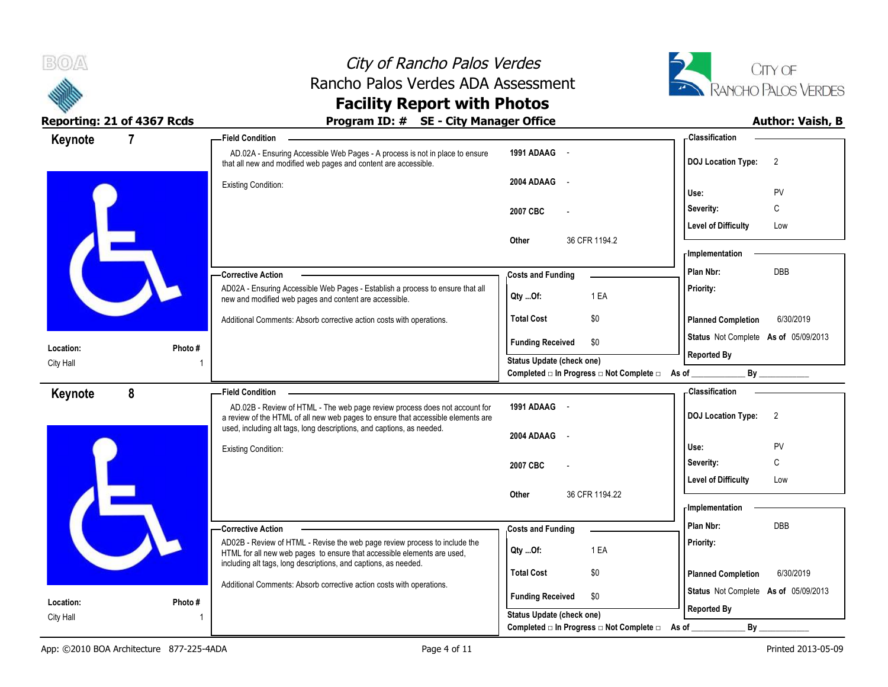



| Keynote   |         | <b>Field Condition</b>                                                                                                                                         |                                                                                    | - Classification                            |
|-----------|---------|----------------------------------------------------------------------------------------------------------------------------------------------------------------|------------------------------------------------------------------------------------|---------------------------------------------|
|           |         | AD.02A - Ensuring Accessible Web Pages - A process is not in place to ensure<br>that all new and modified web pages and content are accessible.                | 1991 ADAAG -                                                                       | <b>DOJ Location Type:</b><br>$\overline{2}$ |
|           |         | <b>Existing Condition:</b>                                                                                                                                     | 2004 ADAAG<br>$\sim$                                                               | PV<br>Use:                                  |
|           |         |                                                                                                                                                                | 2007 CBC                                                                           | С<br>Severity:                              |
|           |         |                                                                                                                                                                |                                                                                    | <b>Level of Difficulty</b><br>Low           |
|           |         |                                                                                                                                                                | 36 CFR 1194.2<br><b>Other</b>                                                      | - Implementation                            |
|           |         | -Corrective Action                                                                                                                                             | <b>Costs and Funding</b>                                                           | <b>DBB</b><br>Plan Nbr:                     |
|           |         | AD02A - Ensuring Accessible Web Pages - Establish a process to ensure that all<br>new and modified web pages and content are accessible.                       | 1 EA<br>Qty Of:                                                                    | Priority:                                   |
|           |         | Additional Comments: Absorb corrective action costs with operations.                                                                                           | \$0<br><b>Total Cost</b>                                                           | <b>Planned Completion</b><br>6/30/2019      |
| Location: | Photo#  |                                                                                                                                                                | <b>Funding Received</b><br>\$0                                                     | Status Not Complete As of 05/09/2013        |
| City Hall |         |                                                                                                                                                                | <b>Status Update (check one)</b><br>Completed □ In Progress □ Not Complete □ As of | <b>Reported By</b><br>By                    |
| Keynote   | 8       | <b>Field Condition</b>                                                                                                                                         |                                                                                    | - Classification                            |
|           |         | AD.02B - Review of HTML - The web page review process does not account for<br>a review of the HTML of all new web pages to ensure that accessible elements are | 1991 ADAAG -                                                                       | $\overline{2}$<br><b>DOJ Location Type:</b> |
|           |         | used, including alt tags, long descriptions, and captions, as needed.                                                                                          | 2004 ADAAG<br>$\sim$                                                               |                                             |
|           |         | <b>Existing Condition:</b>                                                                                                                                     |                                                                                    | Use:<br>PV                                  |
|           |         |                                                                                                                                                                | 2007 CBC                                                                           | C<br>Severity:                              |
|           |         |                                                                                                                                                                |                                                                                    | <b>Level of Difficulty</b><br>Low           |
|           |         |                                                                                                                                                                | 36 CFR 1194.22<br>Other                                                            | - Implementation                            |
|           |         | - Corrective Action                                                                                                                                            | <b>Costs and Funding</b>                                                           | Plan Nbr:<br><b>DBB</b>                     |
|           |         | AD02B - Review of HTML - Revise the web page review process to include the<br>HTML for all new web pages to ensure that accessible elements are used,          | 1 EA<br>Qty Of:                                                                    | Priority:                                   |
|           |         | including alt tags, long descriptions, and captions, as needed.                                                                                                | <b>Total Cost</b><br>\$0                                                           | <b>Planned Completion</b><br>6/30/2019      |
|           |         | Additional Comments: Absorb corrective action costs with operations.                                                                                           |                                                                                    | Status Not Complete As of 05/09/2013        |
| Location: | Photo # |                                                                                                                                                                | <b>Funding Received</b><br>\$0                                                     | <b>Reported By</b>                          |
| City Hall |         |                                                                                                                                                                | <b>Status Update (check one)</b>                                                   |                                             |
|           |         |                                                                                                                                                                | Completed □ In Progress □ Not Complete □ As of                                     | By                                          |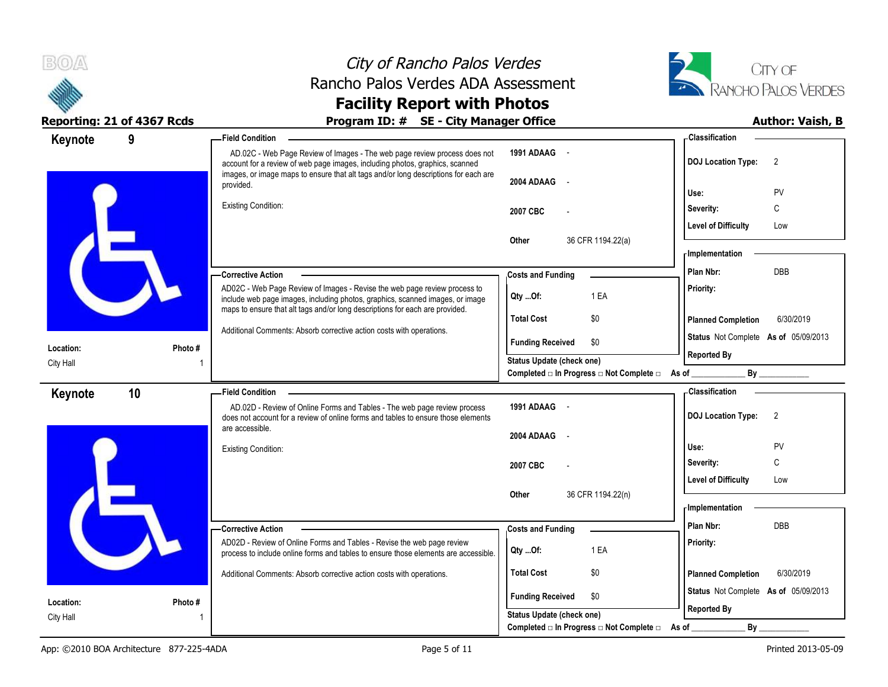



| Keynote          | 9       | <b>Field Condition</b>                                                                                                                                                                                                                           |                                                               | - Classification                            |
|------------------|---------|--------------------------------------------------------------------------------------------------------------------------------------------------------------------------------------------------------------------------------------------------|---------------------------------------------------------------|---------------------------------------------|
|                  |         | AD.02C - Web Page Review of Images - The web page review process does not<br>account for a review of web page images, including photos, graphics, scanned<br>images, or image maps to ensure that alt tags and/or long descriptions for each are | 1991 ADAAG -                                                  | <b>DOJ</b> Location Type:<br>2              |
|                  |         | provided.                                                                                                                                                                                                                                        | 2004 ADAAG -                                                  | Use:                                        |
|                  |         | <b>Existing Condition:</b>                                                                                                                                                                                                                       |                                                               | PV<br>C<br>Severity:                        |
|                  |         |                                                                                                                                                                                                                                                  | 2007 CBC                                                      | <b>Level of Difficulty</b><br>Low           |
|                  |         |                                                                                                                                                                                                                                                  | 36 CFR 1194.22(a)<br>Other                                    |                                             |
|                  |         |                                                                                                                                                                                                                                                  |                                                               | - Implementation                            |
|                  |         | -Corrective Action                                                                                                                                                                                                                               | <b>Costs and Funding</b>                                      | <b>DBB</b><br>Plan Nbr:                     |
|                  |         | AD02C - Web Page Review of Images - Revise the web page review process to<br>include web page images, including photos, graphics, scanned images, or image                                                                                       | 1 EA<br>Qty Of:                                               | Priority:                                   |
|                  |         | maps to ensure that alt tags and/or long descriptions for each are provided.                                                                                                                                                                     | <b>Total Cost</b><br>\$0                                      | 6/30/2019<br><b>Planned Completion</b>      |
| Location:        | Photo # | Additional Comments: Absorb corrective action costs with operations.                                                                                                                                                                             | <b>Funding Received</b><br>\$0                                | Status Not Complete As of 05/09/2013        |
| City Hall        |         |                                                                                                                                                                                                                                                  | <b>Status Update (check one)</b>                              | <b>Reported By</b>                          |
|                  |         |                                                                                                                                                                                                                                                  | Completed □ In Progress □ Not Complete □ As of _              |                                             |
| Keynote          | 10      | <b>Field Condition</b>                                                                                                                                                                                                                           |                                                               | - Classification                            |
|                  |         | AD.02D - Review of Online Forms and Tables - The web page review process<br>does not account for a review of online forms and tables to ensure those elements                                                                                    | 1991 ADAAG -                                                  | <b>DOJ Location Type:</b><br>$\overline{2}$ |
|                  |         | are accessible.                                                                                                                                                                                                                                  | 2004 ADAAG<br>$\sim$                                          |                                             |
|                  |         | <b>Existing Condition:</b>                                                                                                                                                                                                                       |                                                               | PV<br>Use:                                  |
|                  |         |                                                                                                                                                                                                                                                  | 2007 CBC                                                      | C<br>Severity:                              |
|                  |         |                                                                                                                                                                                                                                                  | 36 CFR 1194.22(n)<br>Other                                    | <b>Level of Difficulty</b><br>Low           |
|                  |         |                                                                                                                                                                                                                                                  |                                                               | <b>Implementation</b>                       |
|                  |         | -Corrective Action                                                                                                                                                                                                                               | <b>Costs and Funding</b>                                      | <b>DBB</b><br>Plan Nbr:                     |
|                  |         | AD02D - Review of Online Forms and Tables - Revise the web page review<br>process to include online forms and tables to ensure those elements are accessible.                                                                                    | 1 EA<br>Qty Of:                                               | Priority:                                   |
|                  |         | Additional Comments: Absorb corrective action costs with operations.                                                                                                                                                                             | <b>Total Cost</b><br>\$0                                      | <b>Planned Completion</b><br>6/30/2019      |
| Location:        | Photo # |                                                                                                                                                                                                                                                  | <b>Funding Received</b><br>\$0                                | Status Not Complete As of 05/09/2013        |
| <b>City Hall</b> |         |                                                                                                                                                                                                                                                  | Status Update (check one)                                     | <b>Reported By</b>                          |
|                  |         |                                                                                                                                                                                                                                                  | Completed $\Box$ In Progress $\Box$ Not Complete $\Box$ As of | $By$ <sub>—</sub>                           |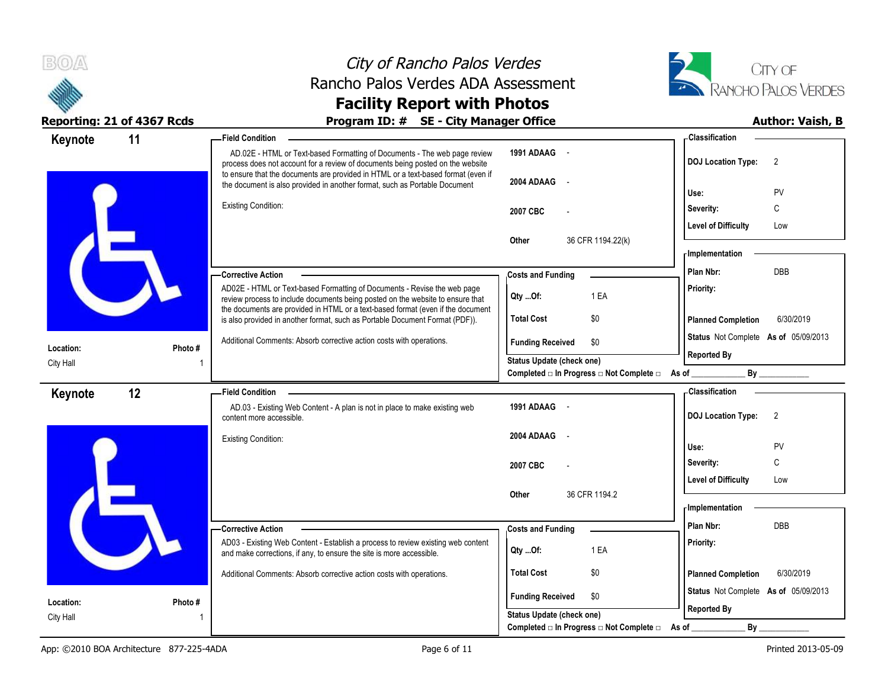



| Keynote   | 11      | -Field Condition                                                                                                                                                                                                                                 |                                                                                            | - Classification                            |
|-----------|---------|--------------------------------------------------------------------------------------------------------------------------------------------------------------------------------------------------------------------------------------------------|--------------------------------------------------------------------------------------------|---------------------------------------------|
|           |         | AD.02E - HTML or Text-based Formatting of Documents - The web page review<br>process does not account for a review of documents being posted on the website<br>to ensure that the documents are provided in HTML or a text-based format (even if | 1991 ADAAG -                                                                               | <b>DOJ Location Type:</b><br>$\overline{2}$ |
|           |         | the document is also provided in another format, such as Portable Document                                                                                                                                                                       | 2004 ADAAG -                                                                               | PV<br>Use:                                  |
|           |         | <b>Existing Condition:</b>                                                                                                                                                                                                                       | 2007 CBC                                                                                   | C<br>Severity:                              |
|           |         |                                                                                                                                                                                                                                                  |                                                                                            | <b>Level of Difficulty</b><br>Low           |
|           |         |                                                                                                                                                                                                                                                  | 36 CFR 1194.22(k)<br>Other                                                                 | - Implementation                            |
|           |         | -Corrective Action                                                                                                                                                                                                                               | <b>Costs and Funding</b>                                                                   | <b>DBB</b><br>Plan Nbr:                     |
|           |         | AD02E - HTML or Text-based Formatting of Documents - Revise the web page<br>review process to include documents being posted on the website to ensure that                                                                                       | 1 EA<br>Qty Of:                                                                            | Priority:                                   |
|           |         | the documents are provided in HTML or a text-based format (even if the document<br>is also provided in another format, such as Portable Document Format (PDF)).                                                                                  | <b>Total Cost</b><br>\$0                                                                   | <b>Planned Completion</b><br>6/30/2019      |
| Location: | Photo # | Additional Comments: Absorb corrective action costs with operations.                                                                                                                                                                             | <b>Funding Received</b><br>\$0                                                             | Status Not Complete As of 05/09/2013        |
| City Hall |         |                                                                                                                                                                                                                                                  | <b>Status Update (check one)</b><br>Completed □ In Progress □ Not Complete □ As of _______ | <b>Reported By</b><br>By                    |
| Keynote   | 12      | -Field Condition                                                                                                                                                                                                                                 |                                                                                            | - Classification                            |
|           |         | AD.03 - Existing Web Content - A plan is not in place to make existing web<br>content more accessible.                                                                                                                                           | 1991 ADAAG -                                                                               | <b>DOJ Location Type:</b><br>$\overline{2}$ |
|           |         | <b>Existing Condition:</b>                                                                                                                                                                                                                       | 2004 ADAAG<br>$\sim$                                                                       | PV<br>Use:                                  |
|           |         |                                                                                                                                                                                                                                                  | 2007 CBC                                                                                   | C<br>Severity:                              |
|           |         |                                                                                                                                                                                                                                                  |                                                                                            | Level of Difficulty<br>Low                  |
|           |         |                                                                                                                                                                                                                                                  | 36 CFR 1194.2<br>Other                                                                     | - Implementation                            |
|           |         | -Corrective Action                                                                                                                                                                                                                               | <b>Costs and Funding</b>                                                                   | DBB<br>Plan Nbr:                            |
|           |         | AD03 - Existing Web Content - Establish a process to review existing web content<br>and make corrections, if any, to ensure the site is more accessible.                                                                                         | 1 EA<br>Qty Of:                                                                            | Priority:                                   |
|           |         | Additional Comments: Absorb corrective action costs with operations.                                                                                                                                                                             | <b>Total Cost</b><br>\$0                                                                   | 6/30/2019<br><b>Planned Completion</b>      |
| Location: | Photo#  |                                                                                                                                                                                                                                                  | <b>Funding Received</b><br>\$0                                                             | Status Not Complete As of 05/09/2013        |
| City Hall |         |                                                                                                                                                                                                                                                  | <b>Status Update (check one)</b>                                                           | <b>Reported By</b>                          |
|           |         |                                                                                                                                                                                                                                                  | Completed □ In Progress □ Not Complete □                                                   | By<br>As of                                 |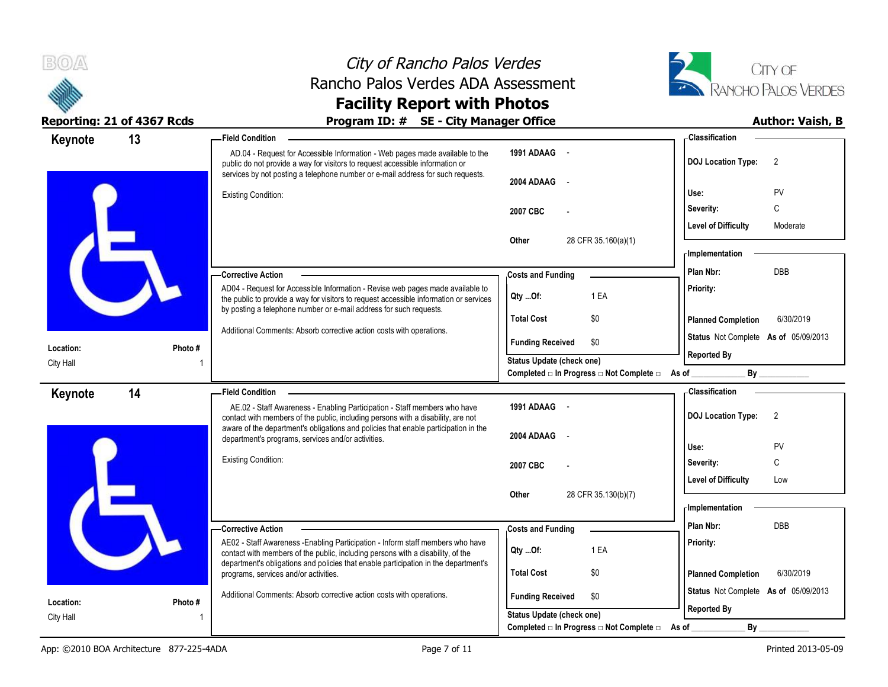



| 13<br>Keynote |         | <b>Field Condition</b>                                                                                                                                                                                                                           |                                          | - Classification                            |
|---------------|---------|--------------------------------------------------------------------------------------------------------------------------------------------------------------------------------------------------------------------------------------------------|------------------------------------------|---------------------------------------------|
|               |         | AD.04 - Request for Accessible Information - Web pages made available to the<br>public do not provide a way for visitors to request accessible information or<br>services by not posting a telephone number or e-mail address for such requests. | 1991 ADAAG -                             | <b>DOJ Location Type:</b><br>$\overline{2}$ |
|               |         | <b>Existing Condition:</b>                                                                                                                                                                                                                       | <b>2004 ADAAG</b>                        | PV<br>Use:                                  |
|               |         |                                                                                                                                                                                                                                                  | 2007 CBC                                 | C<br>Severity:                              |
|               |         |                                                                                                                                                                                                                                                  |                                          | <b>Level of Difficulty</b><br>Moderate      |
|               |         |                                                                                                                                                                                                                                                  | 28 CFR 35.160(a)(1)<br>Other             |                                             |
|               |         |                                                                                                                                                                                                                                                  |                                          | - Implementation                            |
|               |         | - Corrective Action                                                                                                                                                                                                                              | <b>Costs and Funding</b>                 | <b>DBB</b><br>Plan Nbr:                     |
|               |         | AD04 - Request for Accessible Information - Revise web pages made available to<br>the public to provide a way for visitors to request accessible information or services                                                                         | 1 EA<br>Qty Of:                          | Priority:                                   |
|               |         | by posting a telephone number or e-mail address for such requests.                                                                                                                                                                               | <b>Total Cost</b><br>\$0                 | 6/30/2019<br><b>Planned Completion</b>      |
|               |         | Additional Comments: Absorb corrective action costs with operations.                                                                                                                                                                             | <b>Funding Received</b><br>\$0           | Status Not Complete As of 05/09/2013        |
| Location:     | Photo # |                                                                                                                                                                                                                                                  | <b>Status Update (check one)</b>         | <b>Reported By</b>                          |
| City Hall     |         |                                                                                                                                                                                                                                                  | Completed □ In Progress □ Not Complete □ | As of $_{-}$                                |
| 14<br>Keynote |         | - Field Condition                                                                                                                                                                                                                                |                                          | <b>Classification</b>                       |
|               |         | AE.02 - Staff Awareness - Enabling Participation - Staff members who have<br>contact with members of the public, including persons with a disability, are not                                                                                    | 1991 ADAAG -                             | <b>DOJ Location Type:</b><br>$\overline{2}$ |
|               |         | aware of the department's obligations and policies that enable participation in the<br>department's programs, services and/or activities.                                                                                                        | 2004 ADAAG<br>$\sim$                     |                                             |
|               |         |                                                                                                                                                                                                                                                  |                                          | PV<br>Use:                                  |
|               |         | <b>Existing Condition:</b>                                                                                                                                                                                                                       | 2007 CBC                                 | C<br>Severity:                              |
|               |         |                                                                                                                                                                                                                                                  |                                          | <b>Level of Difficulty</b><br>Low           |
|               |         |                                                                                                                                                                                                                                                  | 28 CFR 35.130(b)(7)<br>Other             | - Implementation                            |
|               |         |                                                                                                                                                                                                                                                  |                                          | Plan Nbr:<br><b>DBB</b>                     |
|               |         | -Corrective Action<br>AE02 - Staff Awareness - Enabling Participation - Inform staff members who have                                                                                                                                            | <b>Costs and Funding</b>                 | Priority:                                   |
|               |         | contact with members of the public, including persons with a disability, of the                                                                                                                                                                  | 1 EA<br>Qty Of:                          |                                             |
|               |         | department's obligations and policies that enable participation in the department's<br>programs, services and/or activities.                                                                                                                     | <b>Total Cost</b><br>\$0                 | <b>Planned Completion</b><br>6/30/2019      |
|               |         |                                                                                                                                                                                                                                                  |                                          | Status Not Complete As of 05/09/2013        |
| Location:     | Photo # | Additional Comments: Absorb corrective action costs with operations.                                                                                                                                                                             | <b>Funding Received</b><br>\$0           |                                             |
| City Hall     |         |                                                                                                                                                                                                                                                  | <b>Status Update (check one)</b>         | <b>Reported By</b>                          |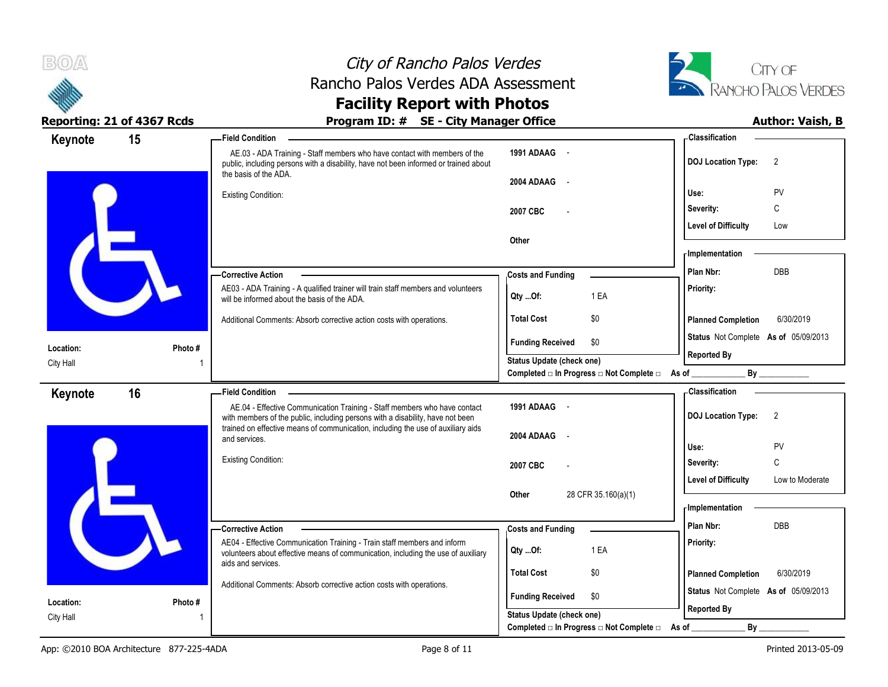



| Keynote                | 15      | - Field Condition                                                                                                                                                                                                                               |                                                                          | - Classification                              |
|------------------------|---------|-------------------------------------------------------------------------------------------------------------------------------------------------------------------------------------------------------------------------------------------------|--------------------------------------------------------------------------|-----------------------------------------------|
|                        |         | AE.03 - ADA Training - Staff members who have contact with members of the<br>public, including persons with a disability, have not been informed or trained about                                                                               | 1991 ADAAG -                                                             | <b>DOJ Location Type:</b><br>$\overline{2}$   |
|                        |         | the basis of the ADA.<br><b>Existing Condition:</b>                                                                                                                                                                                             | 2004 ADAAG<br>$\sim$                                                     | Use:<br>PV                                    |
|                        |         |                                                                                                                                                                                                                                                 | 2007 CBC                                                                 | C<br>Severity:                                |
|                        |         |                                                                                                                                                                                                                                                 |                                                                          | <b>Level of Difficulty</b><br>Low             |
|                        |         |                                                                                                                                                                                                                                                 | Other                                                                    |                                               |
|                        |         |                                                                                                                                                                                                                                                 |                                                                          | - Implementation                              |
|                        |         | -Corrective Action                                                                                                                                                                                                                              | <b>Costs and Funding</b>                                                 | DBB<br>Plan Nbr:                              |
|                        |         | AE03 - ADA Training - A qualified trainer will train staff members and volunteers<br>will be informed about the basis of the ADA.                                                                                                               | 1 EA<br>Qty Of:                                                          | Priority:                                     |
|                        |         | Additional Comments: Absorb corrective action costs with operations.                                                                                                                                                                            | <b>Total Cost</b><br>\$0                                                 | <b>Planned Completion</b><br>6/30/2019        |
|                        |         |                                                                                                                                                                                                                                                 | <b>Funding Received</b><br>\$0                                           | Status Not Complete As of 05/09/2013          |
| Location:<br>City Hall | Photo#  |                                                                                                                                                                                                                                                 | Status Update (check one)                                                | <b>Reported By</b>                            |
|                        |         |                                                                                                                                                                                                                                                 | Completed $\square$ In Progress $\square$ Not Complete $\square$ As of _ | Bv                                            |
| Keynote                | 16      | <b>Field Condition</b>                                                                                                                                                                                                                          |                                                                          | - Classification                              |
|                        |         | AE.04 - Effective Communication Training - Staff members who have contact<br>with members of the public, including persons with a disability, have not been<br>trained on effective means of communication, including the use of auxiliary aids | 1991 ADAAG -                                                             | 2<br><b>DOJ Location Type:</b>                |
|                        |         | and services.                                                                                                                                                                                                                                   | 2004 ADAAG<br>$\sim$                                                     |                                               |
|                        |         | Existing Condition:                                                                                                                                                                                                                             |                                                                          | Use:<br><b>PV</b><br>C<br>Severity:           |
|                        |         |                                                                                                                                                                                                                                                 | 2007 CBC                                                                 | <b>Level of Difficulty</b><br>Low to Moderate |
|                        |         |                                                                                                                                                                                                                                                 | 28 CFR 35.160(a)(1)<br>Other                                             |                                               |
|                        |         |                                                                                                                                                                                                                                                 |                                                                          |                                               |
|                        |         |                                                                                                                                                                                                                                                 |                                                                          | - Implementation                              |
|                        |         | - Corrective Action                                                                                                                                                                                                                             |                                                                          | Plan Nbr:<br>DBB                              |
|                        |         | AE04 - Effective Communication Training - Train staff members and inform<br>volunteers about effective means of communication, including the use of auxiliary                                                                                   | <b>Costs and Funding</b><br>1 EA<br>QtyOf:                               | Priority:                                     |
|                        |         | aids and services.                                                                                                                                                                                                                              | <b>Total Cost</b><br>\$0                                                 | <b>Planned Completion</b><br>6/30/2019        |
|                        |         | Additional Comments: Absorb corrective action costs with operations.                                                                                                                                                                            |                                                                          | Status Not Complete As of 05/09/2013          |
| Location:<br>City Hall | Photo # |                                                                                                                                                                                                                                                 | <b>Funding Received</b><br>\$0<br><b>Status Update (check one)</b>       | <b>Reported By</b>                            |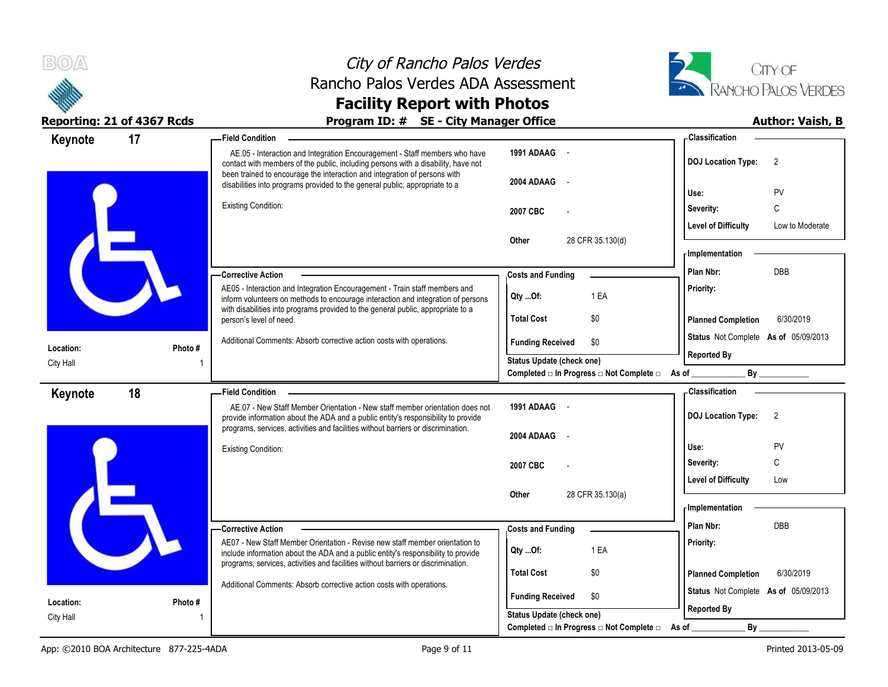



| Keynote                | 17      | <b>Field Condition</b>                                                                                                                                                 |                                                                        | - Classification                                                                                                                                                                                                               |
|------------------------|---------|------------------------------------------------------------------------------------------------------------------------------------------------------------------------|------------------------------------------------------------------------|--------------------------------------------------------------------------------------------------------------------------------------------------------------------------------------------------------------------------------|
|                        |         | AE.05 - Interaction and Integration Encouragement - Staff members who have<br>contact with members of the public, including persons with a disability, have not        | 1991 ADAAG -                                                           | <b>DOJ Location Type:</b><br>$\overline{2}$                                                                                                                                                                                    |
|                        |         | been trained to encourage the interaction and integration of persons with<br>disabilities into programs provided to the general public, appropriate to a               | 2004 ADAAG<br>$\sim$                                                   | PV<br>Use:                                                                                                                                                                                                                     |
|                        |         | <b>Existing Condition:</b>                                                                                                                                             |                                                                        | C<br>Severity:                                                                                                                                                                                                                 |
|                        |         |                                                                                                                                                                        | 2007 CBC                                                               | <b>Level of Difficulty</b><br>Low to Moderate                                                                                                                                                                                  |
|                        |         |                                                                                                                                                                        | 28 CFR 35.130(d)<br>Other                                              |                                                                                                                                                                                                                                |
|                        |         |                                                                                                                                                                        |                                                                        | <b>Implementation</b>                                                                                                                                                                                                          |
|                        |         | -Corrective Action                                                                                                                                                     | <b>Costs and Funding</b>                                               | <b>DBB</b><br>Plan Nbr:                                                                                                                                                                                                        |
|                        |         | AE05 - Interaction and Integration Encouragement - Train staff members and<br>inform volunteers on methods to encourage interaction and integration of persons         | 1 EA<br>Qty Of:                                                        | Priority:                                                                                                                                                                                                                      |
|                        |         | with disabilities into programs provided to the general public, appropriate to a<br>person's level of need.                                                            | <b>Total Cost</b><br>\$0                                               | <b>Planned Completion</b><br>6/30/2019                                                                                                                                                                                         |
|                        |         | Additional Comments: Absorb corrective action costs with operations.                                                                                                   | <b>Funding Received</b><br>\$0                                         | Status Not Complete As of 05/09/2013                                                                                                                                                                                           |
| Location:              | Photo#  |                                                                                                                                                                        | <b>Status Update (check one)</b>                                       | <b>Reported By</b>                                                                                                                                                                                                             |
| City Hall              |         |                                                                                                                                                                        | Completed a In Progress and Complete and As of the Completed and As of | By the contract of the contract of the contract of the contract of the contract of the contract of the contract of the contract of the contract of the contract of the contract of the contract of the contract of the contrac |
| Keynote                | 18      | <b>Field Condition</b>                                                                                                                                                 |                                                                        | - Classification                                                                                                                                                                                                               |
|                        |         | AE.07 - New Staff Member Orientation - New staff member orientation does not<br>provide information about the ADA and a public entity's responsibility to provide      | 1991 ADAAG -                                                           | <b>DOJ Location Type:</b><br>$\overline{2}$                                                                                                                                                                                    |
|                        |         | programs, services, activities and facilities without barriers or discrimination.                                                                                      | 2004 ADAAG                                                             |                                                                                                                                                                                                                                |
|                        |         | <b>Existing Condition:</b>                                                                                                                                             |                                                                        | PV<br>Use:                                                                                                                                                                                                                     |
|                        |         |                                                                                                                                                                        | 2007 CBC                                                               | C<br>Severity:                                                                                                                                                                                                                 |
|                        |         |                                                                                                                                                                        |                                                                        | <b>Level of Difficulty</b><br>Low                                                                                                                                                                                              |
|                        |         |                                                                                                                                                                        | 28 CFR 35.130(a)<br>Other                                              | - Implementation                                                                                                                                                                                                               |
|                        |         | - Corrective Action                                                                                                                                                    | <b>Costs and Funding</b>                                               | Plan Nbr:<br><b>DBB</b>                                                                                                                                                                                                        |
|                        |         | AE07 - New Staff Member Orientation - Revise new staff member orientation to                                                                                           |                                                                        | Priority:                                                                                                                                                                                                                      |
|                        |         | include information about the ADA and a public entity's responsibility to provide<br>programs, services, activities and facilities without barriers or discrimination. | 1 EA<br>Qty Of:                                                        |                                                                                                                                                                                                                                |
|                        |         |                                                                                                                                                                        | <b>Total Cost</b><br>\$0                                               | <b>Planned Completion</b><br>6/30/2019                                                                                                                                                                                         |
|                        |         | Additional Comments: Absorb corrective action costs with operations.                                                                                                   | <b>Funding Received</b><br>\$0                                         | Status Not Complete As of 05/09/2013                                                                                                                                                                                           |
| Location:<br>City Hall | Photo # |                                                                                                                                                                        | <b>Status Update (check one)</b>                                       | <b>Reported By</b>                                                                                                                                                                                                             |
|                        |         |                                                                                                                                                                        |                                                                        |                                                                                                                                                                                                                                |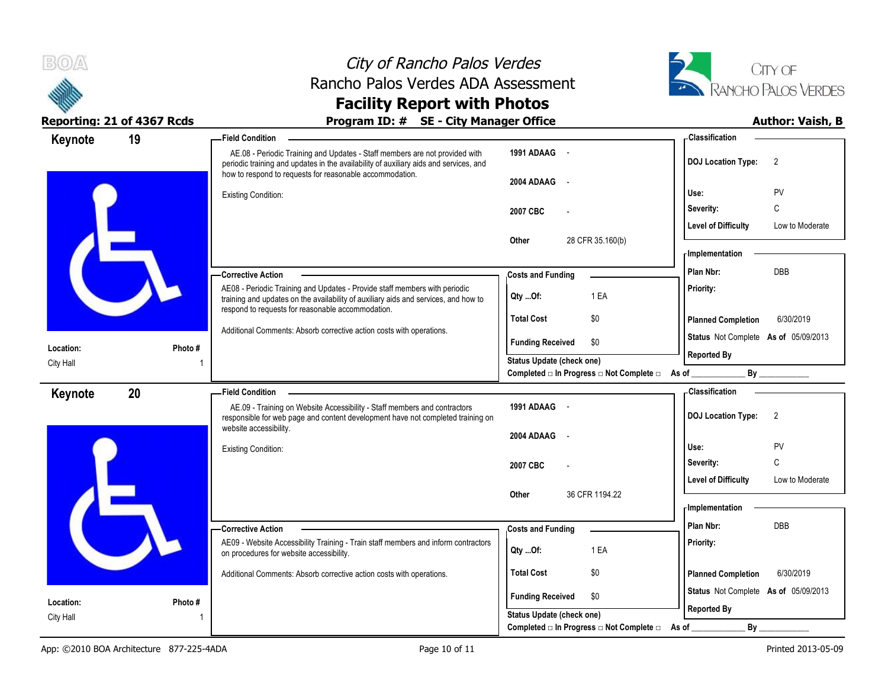



| Keynote   | 19      | <b>Field Condition</b>                                                                                                                                                                                                           |                                                               | - Classification                              |
|-----------|---------|----------------------------------------------------------------------------------------------------------------------------------------------------------------------------------------------------------------------------------|---------------------------------------------------------------|-----------------------------------------------|
|           |         | AE.08 - Periodic Training and Updates - Staff members are not provided with<br>periodic training and updates in the availability of auxiliary aids and services, and<br>how to respond to requests for reasonable accommodation. | 1991 ADAAG -                                                  | 2<br><b>DOJ</b> Location Type:                |
|           |         | <b>Existing Condition:</b>                                                                                                                                                                                                       | 2004 ADAAG<br>$\sim$                                          | PV<br>Use:                                    |
|           |         |                                                                                                                                                                                                                                  | 2007 CBC<br>$\overline{a}$                                    | C<br>Severity:                                |
|           |         |                                                                                                                                                                                                                                  |                                                               | <b>Level of Difficulty</b><br>Low to Moderate |
|           |         |                                                                                                                                                                                                                                  | 28 CFR 35.160(b)<br>Other                                     | - Implementation<br><b>DBB</b><br>Plan Nbr:   |
|           |         | -Corrective Action                                                                                                                                                                                                               | <b>Costs and Funding</b>                                      |                                               |
|           |         | AE08 - Periodic Training and Updates - Provide staff members with periodic<br>training and updates on the availability of auxiliary aids and services, and how to                                                                | 1 EA<br>Qty Of:                                               | Priority:                                     |
|           |         | respond to requests for reasonable accommodation.<br>Additional Comments: Absorb corrective action costs with operations.                                                                                                        | <b>Total Cost</b><br>\$0                                      | 6/30/2019<br><b>Planned Completion</b>        |
| Location: | Photo # |                                                                                                                                                                                                                                  | <b>Funding Received</b><br>\$0                                | Status Not Complete As of 05/09/2013          |
| City Hall |         |                                                                                                                                                                                                                                  | <b>Status Update (check one)</b>                              | <b>Reported By</b>                            |
|           |         |                                                                                                                                                                                                                                  | Completed □ In Progress □ Not Complete □ As of _              | By                                            |
| Keynote   | 20      | <b>Field Condition</b>                                                                                                                                                                                                           |                                                               | - Classification                              |
|           |         | AE.09 - Training on Website Accessibility - Staff members and contractors<br>responsible for web page and content development have not completed training on                                                                     | 1991 ADAAG -                                                  | <b>DOJ Location Type:</b><br>2                |
|           |         | website accessibility.                                                                                                                                                                                                           | 2004 ADAAG -                                                  |                                               |
|           |         | <b>Existing Condition:</b>                                                                                                                                                                                                       |                                                               | PV<br>Use:                                    |
|           |         |                                                                                                                                                                                                                                  | 2007 CBC                                                      | C<br>Severity:                                |
|           |         |                                                                                                                                                                                                                                  |                                                               | <b>Level of Difficulty</b><br>Low to Moderate |
|           |         |                                                                                                                                                                                                                                  | 36 CFR 1194.22<br>Other                                       | <b>Implementation</b>                         |
|           |         |                                                                                                                                                                                                                                  |                                                               | <b>DBB</b><br>Plan Nbr:                       |
|           |         | -Corrective Action<br>AE09 - Website Accessibility Training - Train staff members and inform contractors                                                                                                                         | <b>Costs and Funding</b>                                      | Priority:                                     |
|           |         | on procedures for website accessibility.                                                                                                                                                                                         | 1 EA<br>Qty Of:                                               |                                               |
|           |         | Additional Comments: Absorb corrective action costs with operations.                                                                                                                                                             | <b>Total Cost</b><br>\$0                                      | <b>Planned Completion</b><br>6/30/2019        |
| Location: | Photo#  |                                                                                                                                                                                                                                  | <b>Funding Received</b><br>\$0                                | Status Not Complete As of 05/09/2013          |
| City Hall |         |                                                                                                                                                                                                                                  | <b>Status Update (check one)</b>                              | <b>Reported By</b>                            |
|           |         |                                                                                                                                                                                                                                  | Completed $\Box$ In Progress $\Box$ Not Complete $\Box$ As of | $By_$                                         |